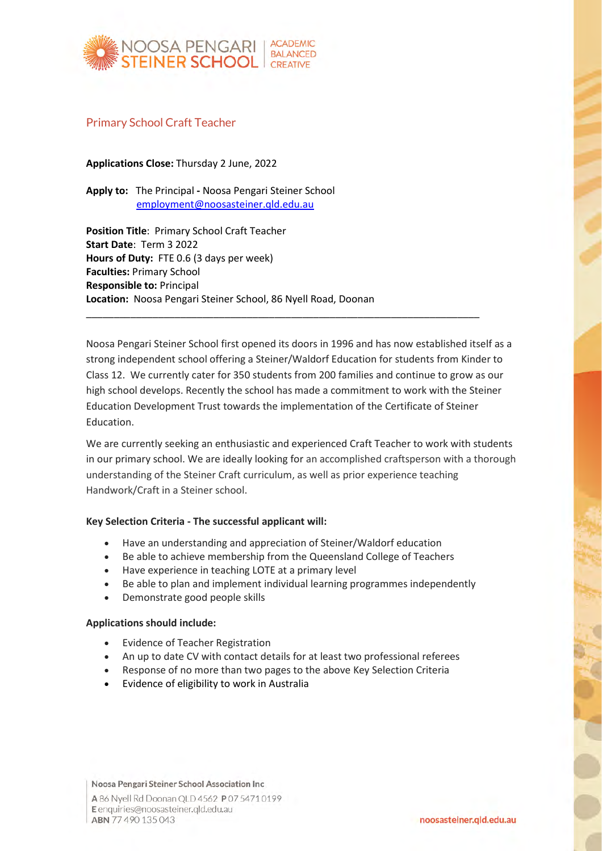

## Primary School Craft Teacher

**Applications Close:** Thursday 2 June, 2022

**Apply to:** The Principal **-** Noosa Pengari Steiner School [employment@noosasteiner.qld.edu.au](mailto:employment@noosasteiner.qld.edu.au)

**Position Title**: Primary School Craft Teacher **Start Date**: Term 3 2022 **Hours of Duty:** FTE 0.6 (3 days per week) **Faculties:** Primary School **Responsible to:** Principal **Location:** Noosa Pengari Steiner School, 86 Nyell Road, Doonan

Noosa Pengari Steiner School first opened its doors in 1996 and has now established itself as a strong independent school offering a Steiner/Waldorf Education for students from Kinder to Class 12. We currently cater for 350 students from 200 families and continue to grow as our high school develops. Recently the school has made a commitment to work with the Steiner Education Development Trust towards the implementation of the Certificate of Steiner Education.

\_\_\_\_\_\_\_\_\_\_\_\_\_\_\_\_\_\_\_\_\_\_\_\_\_\_\_\_\_\_\_\_\_\_\_\_\_\_\_\_\_\_\_\_\_\_\_\_\_\_\_\_\_\_\_\_\_\_\_\_\_\_\_\_\_\_\_\_\_\_\_

We are currently seeking an enthusiastic and experienced Craft Teacher to work with students in our primary school. We are ideally looking for an accomplished craftsperson with a thorough understanding of the Steiner Craft curriculum, as well as prior experience teaching Handwork/Craft in a Steiner school.

## **Key Selection Criteria - The successful applicant will:**

- Have an understanding and appreciation of Steiner/Waldorf education
- Be able to achieve membership from the Queensland College of Teachers
- Have experience in teaching LOTE at a primary level
- Be able to plan and implement individual learning programmes independently
- Demonstrate good people skills

## **Applications should include:**

- Evidence of Teacher Registration
- An up to date CV with contact details for at least two professional referees
- Response of no more than two pages to the above Key Selection Criteria
- Evidence of eligibility to work in Australia

Noosa Pengari Steiner School Association Inc